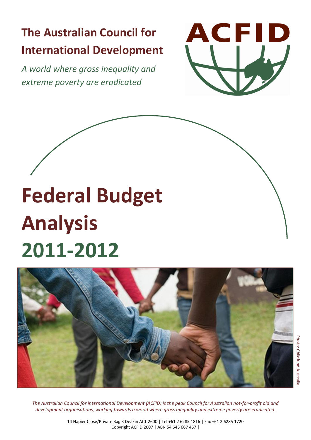# **The Australian Council for International Development**

*A world where gross inequality and extreme poverty are eradicated*



# **Federal Budget Analysis 2011-2012**



*The Australian Council for international Development (ACFID) is the peak Council for Australian not-for-profit aid and development organisations, working towards a world where gross inequality and extreme poverty are eradicated.*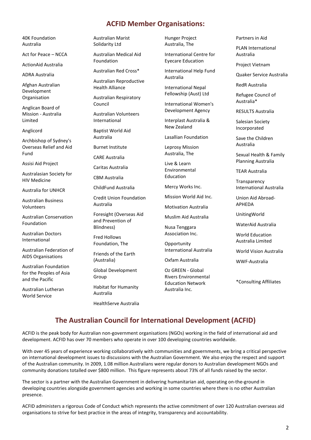# **ACFID Member Organisations:**

40K Foundation Australia

Act for Peace – NCCA

ActionAid Australia

ADRA Australia

Afghan Australian Development Organisation

Anglican Board of Mission - Australia Limited

Anglicord

Archbishop of Sydney's Overseas Relief and Aid Fund

Assisi Aid Project

Australasian Society for HIV Medicine

Australia for UNHCR

Australian Business Volunteers

Australian Conservation Foundation

Australian Doctors International

Australian Federation of AIDS Organisations

Australian Foundation for the Peoples of Asia and the Pacific

Australian Lutheran World Service

Australian Marist Solidarity Ltd

Australian Medical Aid Foundation

Australian Red Cross\*

Australian Reproductive Health Alliance

Australian Respiratory Council

Australian Volunteers International

Baptist World Aid Australia

Burnet Institute

CARE Australia

Caritas Australia

CBM Australia

ChildFund Australia

Credit Union Foundation Australia

Foresight (Overseas Aid and Prevention of Blindness)

Fred Hollows Foundation, The

Friends of the Earth (Australia)

Global Development Group

Habitat for Humanity Australia

HealthServe Australia

Hunger Project Australia, The

International Centre for Eyecare Education

International Help Fund Australia

International Nepal Fellowship (Aust) Ltd

International Women's Development Agency

Interplast Australia & New Zealand

Lasallian Foundation

Leprosy Mission Australia, The

Live & Learn Environmental Education

Mercy Works Inc.

Mission World Aid Inc.

Motivation Australia

Muslim Aid Australia

Nusa Tenggara Association Inc.

**Opportunity** International Australia

Oxfam Australia

Oz GREEN - Global Rivers Environmental Education Network Australia Inc.

Partners in Aid

PLAN International Australia

Project Vietnam

Quaker Service Australia

RedR Australia

Refugee Council of Australia\*

RESULTS Australia

Salesian Society Incorporated

Save the Children Australia

Sexual Health & Family Planning Australia

TEAR Australia

**Transparency** International Australia

Union Aid Abroad-APHEDA

UnitingWorld

WaterAid Australia

World Education Australia Limited

World Vision Australia

WWF-Australia

\*Consulting Affiliates

# **The Australian Council for International Development (ACFID)**

ACFID is the peak body for Australian non-government organisations (NGOs) working in the field of international aid and development. ACFID has over 70 members who operate in over 100 developing countries worldwide.

With over 45 years of experience working collaboratively with communities and governments, we bring a critical perspective on international development issues to discussions with the Australian Government. We also enjoy the respect and support of the Australian community. In 2009, 1.08 million Australians were regular donors to Australian development NGOs and community donations totalled over \$800 million. This figure represents about 73% of all funds raised by the sector.

The sector is a partner with the Australian Government in delivering humanitarian aid, operating on-the-ground in developing countries alongside government agencies and working in some countries where there is no other Australian presence.

ACFID administers a rigorous Code of Conduct which represents the active commitment of over 120 Australian overseas aid organisations to strive for best practice in the areas of integrity, transparency and accountability.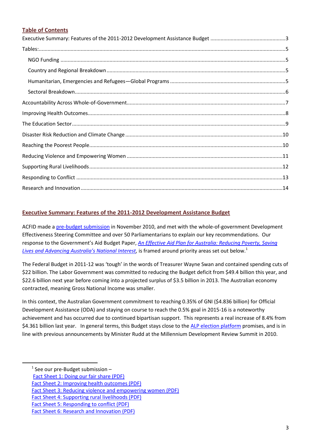#### **Table of Contents**

#### <span id="page-2-0"></span>**Executive Summary: Features of the 2011-2012 Development Assistance Budget**

ACFID made [a pre-budget submission](http://www.acfid.asn.au/resources/docs_resources/docs_submissions/ACFID%20Pre-Budget%20Submission%20Introduction%20and%20Key%20Recommendations.pdf) in November 2010, and met with the whole-of-government Development Effectiveness Steering Committee and over 50 Parliamentarians to explain our key recommendations. Our response to the Government's Aid Budget Paper, *[An Effective Aid Plan for Australia: Reducing Poverty, Saving](http://cache.treasury.gov.au/budget/2011-12/content/download/ms_ausaid.pdf)  [Lives and Advancing Australia's National Interest](http://cache.treasury.gov.au/budget/2011-12/content/download/ms_ausaid.pdf)*, is framed around priority areas set out below.<sup>1</sup>

The Federal Budget in 2011-12 was 'tough' in the words of Treasurer Wayne Swan and contained spending cuts of \$22 billion. The Labor Government was committed to reducing the Budget deficit from \$49.4 billion this year, and \$22.6 billion next year before coming into a projected surplus of \$3.5 billion in 2013. The Australian economy contracted, meaning Gross National Income was smaller.

In this context, the Australian Government commitment to reaching 0.35% of GNI (\$4.836 billion) for Official Development Assistance (ODA) and staying on course to reach the 0.5% goal in 2015-16 is a noteworthy achievement and has occurred due to continued bipartisan support. This represents a real increase of 8.4% from \$4.361 billion last year. In general terms, this Budget stays close to the [ALP election platform](http://www.alp.org.au/agenda/more---policies/good-international-citizens/) promises, and is in line with previous announcements by Minister Rudd at the Millennium Development Review Summit in 2010.

 $\ddot{\phantom{a}}$ 

 $1$  See our pre-Budget submission -

[Fact Sheet 1: Doing our fair share \(PDF\)](http://www.acfid.asn.au/resources/docs_resources/docs_submissions/Fact%20Sheet%201%20-%20Doing%20Our%20Fair%20Share.pdf)

[Fact Sheet 2: Improving health outcomes \(PDF\)](http://www.acfid.asn.au/resources/docs_resources/docs_submissions/Fact%20Sheet%202%20-%20Improving%20Health%20Outcomes.pdf)

[Fact Sheet 3: Reducing violence and empowering women \(PDF\)](http://www.acfid.asn.au/resources/docs_resources/docs_submissions/Fact%20Sheet%203%20-%20Reducing%20Violence%20and%20Empowering%20Women.pdf)

[Fact Sheet 4: Supporting rural livelihoods \(PDF\)](http://www.acfid.asn.au/resources/docs_resources/docs_submissions/Fact%20Sheet%204%20-%20Supporting%20Rural%20Livelihoods.pdf)

[Fact Sheet 5: Responding to conflict \(PDF\)](http://www.acfid.asn.au/resources/docs_resources/docs_submissions/Fact%20Sheet%205%20-%20Responding%20to%20Conflict.pdf)

[Fact Sheet 6: Research and Innovation](http://www.acfid.asn.au/resources/docs_resources/docs_submissions/Fact%20Sheet%206%20-%20Research%20and%20Innovation.pdf) (PDF)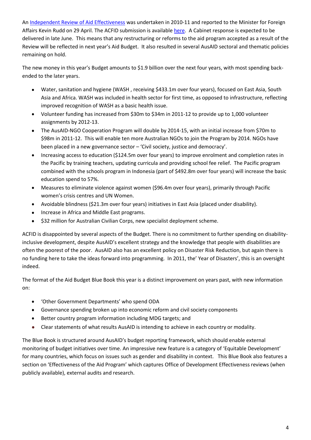An [Independent Review of Aid Effectiveness](http://www.aidreview.gov.au/index.html) was undertaken in 2010-11 and reported to the Minister for Foreign Affairs Kevin Rudd on 29 April. The ACFID submission is available [here.](http://www.acfid.asn.au/what-we-do/independent-aid-review/acfid-submission-independent-aid-review?searchterm=effective) A Cabinet response is expected to be delivered in late June. This means that any restructuring or reforms to the aid program accepted as a result of the Review will be reflected in next year's Aid Budget. It also resulted in several AusAID sectoral and thematic policies remaining on hold.

The new money in this year's Budget amounts to \$1.9 billion over the next four years, with most spending backended to the later years.

- Water, sanitation and hygiene (WASH , receiving \$433.1m over four years), focused on East Asia, South Asia and Africa. WASH was included in health sector for first time, as opposed to infrastructure, reflecting improved recognition of WASH as a basic health issue.
- Volunteer funding has increased from \$30m to \$34m in 2011-12 to provide up to 1,000 volunteer  $\bullet$ assignments by 2012-13.
- $\bullet$ The AusAID-NGO Cooperation Program will double by 2014-15, with an initial increase from \$70m to \$98m in 2011-12. This will enable ten more Australian NGOs to join the Program by 2014. NGOs have been placed in a new governance sector – 'Civil society, justice and democracy'.
- Increasing access to education (\$124.5m over four years) to improve enrolment and completion rates in  $\bullet$ the Pacific by training teachers, updating curricula and providing school fee relief. The Pacific program combined with the schools program in Indonesia (part of \$492.8m over four years) will increase the basic education spend to 57%.
- Measures to eliminate violence against women (\$96.4m over four years), primarily through Pacific  $\bullet$ women's crisis centres and UN Women.
- Avoidable blindness (\$21.3m over four years) initiatives in East Asia (placed under disability).  $\bullet$
- Increase in Africa and Middle East programs.
- \$32 million for Australian Civilian Corps, new specialist deployment scheme.

ACFID is disappointed by several aspects of the Budget. There is no commitment to further spending on disabilityinclusive development, despite AusAID's excellent strategy and the knowledge that people with disabilities are often the poorest of the poor. AusAID also has an excellent policy on Disaster Risk Reduction, but again there is no funding here to take the ideas forward into programming. In 2011, the' Year of Disasters', this is an oversight indeed.

The format of the Aid Budget Blue Book this year is a distinct improvement on years past, with new information on:

- 'Other Government Departments' who spend ODA
- Governance spending broken up into economic reform and civil society components
- Better country program information including MDG targets; and  $\bullet$
- Clear statements of what results AusAID is intending to achieve in each country or modality.  $\bullet$

The Blue Book is structured around AusAID's budget reporting framework, which should enable external monitoring of budget initiatives over time. An impressive new feature is a category of 'Equitable Development' for many countries, which focus on issues such as gender and disability in context. This Blue Book also features a section on 'Effectiveness of the Aid Program' which captures Office of Development Effectiveness reviews (when publicly available), external audits and research.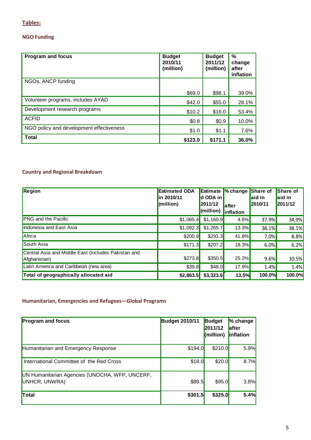# <span id="page-4-0"></span>**Tables:**

## <span id="page-4-1"></span>**NGO Funding**

| <b>Program and focus</b>                 | <b>Budget</b><br>2010/11<br>(million) | <b>Budget</b><br>2011/12<br>(million) | %<br>change<br>after<br>inflation |
|------------------------------------------|---------------------------------------|---------------------------------------|-----------------------------------|
| NGOs, ANCP funding                       |                                       |                                       |                                   |
|                                          | \$69.0                                | \$98.1                                | 39.0%                             |
| Volunteer programs, includes AYAD        | \$42.0                                | \$55.0                                | 28.1%                             |
| Development research programs            | \$10.2                                | \$16.0                                | 53.4%                             |
| <b>ACFID</b>                             | \$0.8                                 | \$0.9                                 | 10.0%                             |
| NGO policy and development effectiveness | \$1.0                                 | \$1.1                                 | 7.6%                              |
| <b>Total</b>                             | \$123.0                               | \$171.1                               | 36.0%                             |

# <span id="page-4-2"></span>**Country and Regional Breakdown**

| Region                                                              | <b>Estimated ODA</b><br>in 2010/11<br>(million) | Estimate<br>ld ODA in<br>2011/12<br>$\mathsf{I}$ (million) | $\%$ change<br><b>after</b><br>inflation | Share of<br>aid in<br>2010/11 | Share of<br>aid in<br>2011/12 |
|---------------------------------------------------------------------|-------------------------------------------------|------------------------------------------------------------|------------------------------------------|-------------------------------|-------------------------------|
| <b>PNG</b> and the Pacific                                          | \$1,085.4                                       | \$1,160.9                                                  | 4.6%                                     | 37.9%                         | 34.9%                         |
| Indonesia and East Asia                                             | \$1,092.3                                       | \$1,265.7                                                  | 13.3%                                    | 38.1%                         | 38.1%                         |
| Africa                                                              | \$200.9                                         | \$291.3                                                    | 41.8%                                    | 7.0%                          | 8.8%                          |
| South Asia                                                          | \$171.3                                         | \$207.2                                                    | 18.3%                                    | 6.0%                          | 6.2%                          |
| Central Asia and Middle East (includes Pakistan and<br>Afghanistan) | \$273.8                                         | \$350.5                                                    | 25.2%                                    | 9.6%                          | 10.5%                         |
| Latin America and Caribbean (new area)                              | \$39.8                                          | \$48.0                                                     | 17.9%                                    | 1.4%                          | 1.4%                          |
| Total of geographically allocated aid                               | \$2,863.5                                       | \$3,323.6                                                  | <b>13.5%</b>                             | 100.0%                        | 100.0%                        |

### <span id="page-4-3"></span>**Humanitarian, Emergencies and Refugees—Global Programs**

| <b>Program and focus</b>                                        | <b>Budget 2010/11</b> | <b>Budget</b><br>2011/12<br>(million) | % change<br><b>lafter</b><br><b>linflation</b> |
|-----------------------------------------------------------------|-----------------------|---------------------------------------|------------------------------------------------|
| Humanitarian and Emergency Response                             | \$194.0               | \$210.0                               | 5.9%                                           |
| International Committee of the Red Cross                        | \$18.0                | \$20.0                                | 8.7%                                           |
| UN Humanitarian Agencies (UNOCHA, WFP, UNCERF,<br>UNHCR, UNWRA) | \$89.5                | \$95.0                                | 3.8%                                           |
| Total                                                           | \$301.5               | \$325.0                               | 5.4%                                           |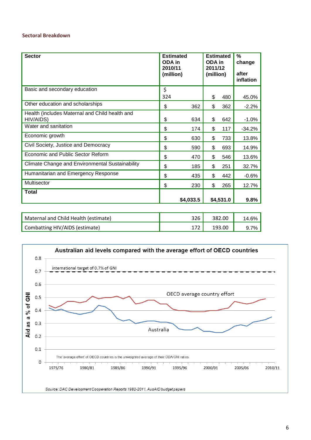#### <span id="page-5-0"></span>**Sectoral Breakdown**

| <b>Sector</b>                                               | <b>Estimated</b><br>ODA in<br>2010/11<br>(million) |           | <b>Estimated</b><br>ODA in<br>2011/12<br>(million) |           | $\frac{0}{0}$<br>change<br>after<br>inflation |
|-------------------------------------------------------------|----------------------------------------------------|-----------|----------------------------------------------------|-----------|-----------------------------------------------|
| Basic and secondary education                               | \$<br>324                                          |           | \$                                                 | 480       | 45.0%                                         |
| Other education and scholarships                            | \$                                                 | 362       | \$                                                 | 362       | $-2.2%$                                       |
| Health (includes Maternal and Child health and<br>HIV/AIDS) | \$                                                 | 634       | \$                                                 | 642       | $-1.0%$                                       |
| Water and sanitation                                        | \$                                                 | 174       | \$                                                 | 117       | $-34.2%$                                      |
| Economic growth                                             | \$                                                 | 630       | \$                                                 | 733       | 13.8%                                         |
| Civil Society, Justice and Democracy                        | \$                                                 | 590       | \$                                                 | 693       | 14.9%                                         |
| Economic and Public Sector Reform                           | \$                                                 | 470       | \$                                                 | 546       | 13.6%                                         |
| <b>Climate Change and Environmental Sustainability</b>      | \$                                                 | 185       | \$                                                 | 251       | 32.7%                                         |
| Humanitarian and Emergency Response                         | \$                                                 | 435       | \$                                                 | 442       | $-0.6%$                                       |
| Multisector                                                 | \$                                                 | 230       | \$                                                 | 265       | 12.7%                                         |
| Total                                                       |                                                    | \$4,033.5 |                                                    | \$4,531.0 | 9.8%                                          |

| Maternal and Child Health (estimate) | 326 | 382.00 |  |
|--------------------------------------|-----|--------|--|
| Combatting HIV/AIDS (estimate)       |     | 193.00 |  |

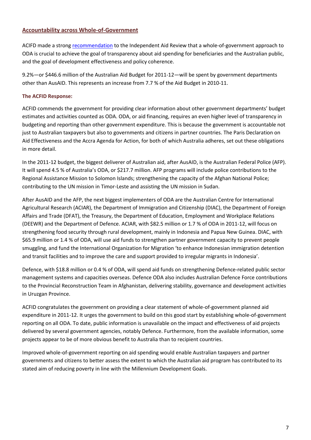#### <span id="page-6-0"></span>**Accountability across Whole-of-Government**

ACIFD made a stron[g recommendation](http://www.acfid.asn.au/what-we-do/independent-aid-review/what-we-do/independent-aid-review/Evidence%20Brief%202.%2010%20Steps%20to%20Development%20Effectiveness.pdf) to the Independent Aid Review that a whole-of-government approach to ODA is crucial to achieve the goal of transparency about aid spending for beneficiaries and the Australian public, and the goal of development effectiveness and policy coherence.

9.2%—or \$446.6 million of the Australian Aid Budget for 2011-12—will be spent by government departments other than AusAID. This represents an increase from 7.7 % of the Aid Budget in 2010-11.

#### **The ACFID Response:**

ACFID commends the government for providing clear information about other government departments' budget estimates and activities counted as ODA. ODA, or aid financing, requires an even higher level of transparency in budgeting and reporting than other government expenditure. This is because the government is accountable not just to Australian taxpayers but also to governments and citizens in partner countries. The Paris Declaration on Aid Effectiveness and the Accra Agenda for Action, for both of which Australia adheres, set out these obligations in more detail.

In the 2011-12 budget, the biggest deliverer of Australian aid, after AusAID, is the Australian Federal Police (AFP). It will spend 4.5 % of Australia's ODA, or \$217.7 million. AFP programs will include police contributions to the Regional Assistance Mission to Solomon Islands; strengthening the capacity of the Afghan National Police; contributing to the UN mission in Timor-Leste and assisting the UN mission in Sudan.

After AusAID and the AFP, the next biggest implementers of ODA are the Australian Centre for International Agricultural Research (ACIAR), the Department of Immigration and Citizenship (DIAC), the Department of Foreign Affairs and Trade (DFAT), the Treasury, the Department of Education, Employment and Workplace Relations (DEEWR) and the Department of Defence. ACIAR, with \$82.5 million or 1.7 % of ODA in 2011-12, will focus on strengthening food security through rural development, mainly in Indonesia and Papua New Guinea. DIAC, with \$65.9 million or 1.4 % of ODA, will use aid funds to strengthen partner government capacity to prevent people smuggling, and fund the International Organization for Migration 'to enhance Indonesian immigration detention and transit facilities and to improve the care and support provided to irregular migrants in Indonesia'.

Defence, with \$18.8 million or 0.4 % of ODA, will spend aid funds on strengthening Defence-related public sector management systems and capacities overseas. Defence ODA also includes Australian Defence Force contributions to the Provincial Reconstruction Team in Afghanistan, delivering stability, governance and development activities in Uruzgan Province.

ACFID congratulates the government on providing a clear statement of whole-of-government planned aid expenditure in 2011-12. It urges the government to build on this good start by establishing whole-of-government reporting on all ODA. To date, public information is unavailable on the impact and effectiveness of aid projects delivered by several government agencies, notably Defence. Furthermore, from the available information, some projects appear to be of more obvious benefit to Australia than to recipient countries.

<span id="page-6-1"></span>Improved whole-of-government reporting on aid spending would enable Australian taxpayers and partner governments and citizens to better assess the extent to which the Australian aid program has contributed to its stated aim of reducing poverty in line with the Millennium Development Goals.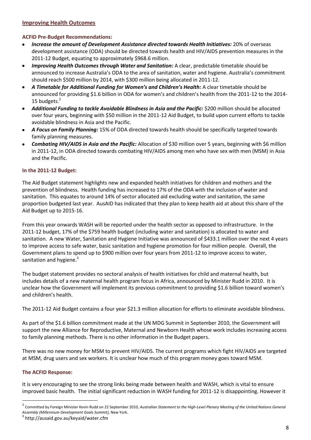#### **Improving Health Outcomes**

#### **ACFID Pre-Budget Recommendations:**

- $\bullet$ *Increase the amount of Development Assistance directed towards Health Initiatives:* 20% of overseas development assistance (ODA) should be directed towards health and HIV/AIDS prevention measures in the 2011-12 Budget, equating to approximately \$968.6 million.
- *Improving Health Outcomes through Water and Sanitation: A clear, predictable timetable should be*  $\bullet$ announced to increase Australia's ODA to the area of sanitation, water and hygiene. Australia's commitment should reach \$500 million by 2014, with \$300 million being allocated in 2011-12.
- *A Timetable for Additional Funding for Women's and Children's Health:* A clear timetable should be  $\bullet$ announced for providing \$1.6 billion in ODA for women's and children's health from the 2011-12 to the 2014- 15 budgets.<sup>2</sup>
- *Additional Funding to tackle Avoidable Blindness in Asia and the Pacific:* \$200 million should be allocated over four years, beginning with \$50 million in the 2011-12 Aid Budget, to build upon current efforts to tackle avoidable blindness in Asia and the Pacific.
- *A Focus on Family Planning:* 15% of ODA directed towards health should be specifically targeted towards  $\bullet$ family planning measures.
- *Combating HIV/AIDS in Asia and the Pacific:* Allocation of \$30 million over 5 years, beginning with \$6 million  $\bullet$ in 2011-12, in ODA directed towards combating HIV/AIDS among men who have sex with men (MSM) in Asia and the Pacific.

#### **In the 2011-12 Budget:**

The Aid Budget statement highlights new and expanded health initiatives for children and mothers and the prevention of blindness. Health funding has increased to 17% of the ODA with the inclusion of water and sanitation. This equates to around 14% of sector allocated aid excluding water and sanitation, the same proportion budgeted last year. AusAID has indicated that they plan to keep health aid at about this share of the Aid Budget up to 2015-16.

From this year onwards WASH will be reported under the health sector as opposed to infrastructure. In the 2011-12 budget, 17% of the \$759 health budget (including water and sanitation) is allocated to water and sanitation. A new Water, Sanitation and Hygiene Initiative was announced of \$433.1 million over the next 4 years to improve access to safe water, basic sanitation and hygiene promotion for four million people. Overall, the Government plans to spend up to \$900 million over four years from 2011-12 to improve access to water, sanitation and hygiene.<sup>3</sup>

The budget statement provides no sectoral analysis of health initiatives for child and maternal health, but includes details of a new maternal health program focus in Africa, announced by Minister Rudd in 2010. It is unclear how the Government will implement its previous commitment to providing \$1.6 billion toward women's and children's health.

The 2011-12 Aid Budget contains a four year \$21.3 million allocation for efforts to eliminate avoidable blindness.

As part of the \$1.6 billion commitment made at the UN MDG Summit in September 2010, the Government will support the new Alliance for Reproductive, Maternal and Newborn Health whose work includes increasing access to family planning methods. There is no other information in the Budget papers.

There was no new money for MSM to prevent HIV/AIDS. The current programs which fight HIV/AIDS are targeted at MSM, drug users and sex workers. It is unclear how much of this program money goes toward MSM.

#### **The ACFID Response:**

 $\ddot{\phantom{a}}$ 

It is very encouraging to see the strong links being made between health and WASH, which is vital to ensure improved basic health. The initial significant reduction in WASH funding for 2011-12 is disappointing. However it

<sup>2</sup> Committed by Foreign Minister Kevin Rudd on 22 September 2010, *Australian Statement to the High-Level Plenary Meeting of the United Nations General Assembly (Millennium Development Goals Summit),* New York.

<sup>3</sup> http://ausaid.gov.au/keyaid/water.cfm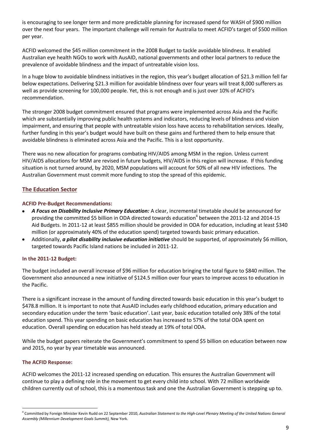is encouraging to see longer term and more predictable planning for increased spend for WASH of \$900 million over the next four years. The important challenge will remain for Australia to meet ACFID's target of \$500 million per year.

ACFID welcomed the \$45 million commitment in the 2008 Budget to tackle avoidable blindness. It enabled Australian eye health NGOs to work with AusAID, national governments and other local partners to reduce the prevalence of avoidable blindness and the impact of untreatable vision loss.

In a huge blow to avoidable blindness initiatives in the region, this year's budget allocation of \$21.3 million fell far below expectations. Delivering \$21.3 million for avoidable blindness over four years will treat 8,000 sufferers as well as provide screening for 100,000 people. Yet, this is not enough and is just over 10% of ACFID's recommendation.

The stronger 2008 budget commitment ensured that programs were implemented across Asia and the Pacific which are substantially improving public health systems and indicators, reducing levels of blindness and vision impairment, and ensuring that people with untreatable vision loss have access to rehabilitation services. Ideally, further funding in this year's budget would have built on these gains and furthered them to help ensure that avoidable blindness is eliminated across Asia and the Pacific. This is a lost opportunity.

There was no new allocation for programs combating HIV/AIDS among MSM in the region. Unless current HIV/AIDS allocations for MSM are revised in future budgets, HIV/AIDS in this region will increase. If this funding situation is not turned around, by 2020, MSM populations will account for 50% of all new HIV infections. The Australian Government must commit more funding to stop the spread of this epidemic.

#### <span id="page-8-0"></span>**The Education Sector**

#### **ACFID Pre-Budget Recommendations:**

- *A Focus on Disability Inclusive Primary Education:* A clear, incremental timetable should be announced for providing the committed \$5 billion in ODA directed towards education<sup>4</sup> between the 2011-12 and 2014-15 Aid Budgets. In 2011-12 at least \$855 million should be provided in ODA for education, including at least \$340 million (or approximately 40% of the education spend) targeted towards basic primary education.
- Additionally, *a pilot disability inclusive education initiative* should be supported, of approximately \$6 million,  $\bullet$ targeted towards Pacific Island nations be included in 2011-12.

#### **In the 2011-12 Budget:**

The budget included an overall increase of \$96 million for education bringing the total figure to \$840 million. The Government also announced a new initiative of \$124.5 million over four years to improve access to education in the Pacific.

There is a significant increase in the amount of funding directed towards basic education in this year's budget to \$478.8 million. It is important to note that AusAID includes early childhood education, primary education and secondary education under the term 'basic education'. Last year, basic education totalled only 38% of the total education spend. This year spending on basic education has increased to 57% of the total ODA spent on education. Overall spending on education has held steady at 19% of total ODA.

While the budget papers reiterate the Government's commitment to spend \$5 billion on education between now and 2015, no year by year timetable was announced.

#### **The ACFID Response:**

 $\ddot{\phantom{a}}$ 

ACFID welcomes the 2011-12 increased spending on education. This ensures the Australian Government will continue to play a defining role in the movement to get every child into school. With 72 million worldwide children currently out of school, this is a momentous task and one the Australian Government is stepping up to.

<sup>4</sup> Committed by Foreign Minister Kevin Rudd on 22 September 2010, *Australian Statement to the High-Level Plenary Meeting of the United Nations General Assembly (Millennium Development Goals Summit),* New York.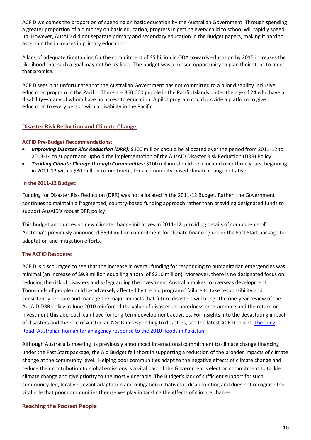ACFID welcomes the proportion of spending on basic education by the Australian Government. Through spending a greater proportion of aid money on basic education, progress in getting every child to school will rapidly speed up. However, AusAID did not separate primary and secondary education in the Budget papers, making it hard to ascertain the increases in primary education.

A lack of adequate timetabling for the commitment of \$5 billion in ODA towards education by 2015 increases the likelihood that such a goal may not be realised. The budget was a missed opportunity to plan their steps to meet that promise.

ACFID sees it as unfortunate that the Australian Government has not committed to a pilot disability inclusive education program in the Pacific. There are 360,000 people in the Pacific Islands under the age of 24 who have a disability—many of whom have no access to education. A pilot program could provide a platform to give education to every person with a disability in the Pacific.

#### <span id="page-9-0"></span>**Disaster Risk Reduction and Climate Change**

#### **ACFID Pre-Budget Recommendations:**

- *Improving Disaster Risk Reduction (DRR):* \$100 million should be allocated over the period from 2011-12 to  $\bullet$ 2013-14 to support and uphold the implementation of the AusAID Disaster Risk Reduction (DRR) Policy.
- *Tackling Climate Change through Communities:* \$100 million should be allocated over three years, beginning in 2011-12 with a \$30 million commitment, for a community-based climate change initiative.

#### **In the 2011-12 Budget:**

Funding for Disaster Risk Reduction (DRR) was not allocated in the 2011-12 Budget. Rather, the Government continues to maintain a fragmented, country-based funding approach rather than providing designated funds to support AusAID's robust DRR policy.

This budget announces no new climate change initiatives in 2011-12, providing details of components of Australia's previously announced \$599 million commitment for climate financing under the Fast Start package for adaptation and mitigation efforts.

#### **The ACFID Response:**

ACFID is discouraged to see that the increase in overall funding for responding to humanitarian emergencies was minimal (an increase of \$9.8 million equalling a total of \$210 million). Moreover, there is no designated focus on reducing the risk of disasters and safeguarding the investment Australia makes to overseas development. Thousands of people could be adversely affected by the aid programs' failure to take responsibility and consistently prepare and manage the major impacts that future disasters will bring. The one-year review of the AusAID DRR policy in June 2010 reinforced the value of disaster preparedness programming and the return on investment this approach can have for long-term development activities. For insights into the devastating impact of disasters and the role of Australian NGOs in responding to disasters, see the latest ACFID report: The Long [Road: Australian humanitarian agency response to the 2010 floods in Pakistan.](http://www.acfid.asn.au/resources/docs_resources/docs_reports/pakistan-floods-report)

Although Australia is meeting its previously announced international commitment to climate change financing under the Fast Start package, the Aid Budget fell short in supporting a reduction of the broader impacts of climate change at the community level. Helping poor communities adapt to the negative effects of climate change and reduce their contribution to global emissions is a vital part of the Government's election commitment to tackle climate change and give priority to the most vulnerable. The Budget's lack of sufficient support for such community-led, locally relevant adaptation and mitigation initiatives is disappointing and does not recognise the vital role that poor communities themselves play in tackling the effects of climate change.

#### <span id="page-9-1"></span>**Reaching the Poorest People**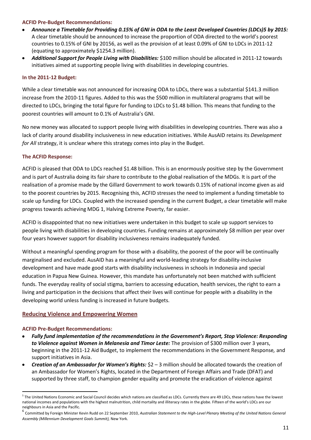#### **ACFID Pre-Budget Recommendations:**

- *Announce a Timetable for Providing 0.15% of GNI in ODA to the Least Developed Countries (LDCs)5 by 2015:*   $\bullet$ A clear timetable should be announced to increase the proportion of ODA directed to the world's poorest countries to 0.15% of GNI by 20156, as well as the provision of at least 0.09% of GNI to LDCs in 2011-12 (equating to approximately \$1254.3 million).
- *Additional Support for People Living with Disabilities:* \$100 million should be allocated in 2011-12 towards initiatives aimed at supporting people living with disabilities in developing countries.

#### **In the 2011-12 Budget:**

While a clear timetable was not announced for increasing ODA to LDCs, there was a substantial \$141.3 million increase from the 2010-11 figures. Added to this was the \$500 million in multilateral programs that will be directed to LDCs, bringing the total figure for funding to LDCs to \$1.48 billion. This means that funding to the poorest countries will amount to 0.1% of Australia's GNI.

No new money was allocated to support people living with disabilities in developing countries. There was also a lack of clarity around disability inclusiveness in new education initiatives. While AusAID retains its *Development for All* strategy, it is unclear where this strategy comes into play in the Budget.

#### **The ACFID Response:**

ACFID is pleased that ODA to LDCs reached \$1.48 billion. This is an enormously positive step by the Government and is part of Australia doing its fair share to contribute to the global realisation of the MDGs. It is part of the realisation of a promise made by the Gillard Government to work towards 0.15% of national income given as aid to the poorest countries by 2015. Recognising this, ACFID stresses the need to implement a funding timetable to scale up funding for LDCs. Coupled with the increased spending in the current Budget, a clear timetable will make progress towards achieving MDG 1, Halving Extreme Poverty, far easier.

ACFID is disappointed that no new initiatives were undertaken in this budget to scale up support services to people living with disabilities in developing countries. Funding remains at approximately \$8 million per year over four years however support for disability inclusiveness remains inadequately funded.

Without a meaningful spending program for those with a disability, the poorest of the poor will be continually marginalised and excluded. AusAID has a meaningful and world-leading strategy for disability-inclusive development and have made good starts with disability inclusiveness in schools in Indonesia and special education in Papua New Guinea. However, this mandate has unfortunately not been matched with sufficient funds. The everyday reality of social stigma, barriers to accessing education, health services, the right to earn a living and participation in the decisions that affect their lives will continue for people with a disability in the developing world unless funding is increased in future budgets.

#### <span id="page-10-0"></span>**Reducing Violence and Empowering Women**

#### **ACFID Pre-Budget Recommendations:**

 $\overline{a}$ 

- *Fully fund implementation of the recommendations in the Government's Report, Stop Violence: Responding*   $\bullet$ *to Violence against Women in Melanesia and Timor Leste:* The provision of \$300 million over 3 years, beginning in the 2011-12 Aid Budget, to implement the recommendations in the Government Response*,* and support initiatives in Asia.
- *Creation of an Ambassador for Women's Rights:* \$2 3 million should be allocated towards the creation of  $\bullet$ an Ambassador for Women's Rights, located in the Department of Foreign Affairs and Trade (DFAT) and supported by three staff, to champion gender equality and promote the eradication of violence against

 $^{\rm 5}$  The United Nations Economic and Social Council decides which nations are classified as LDCs. Currently there are 49 LDCs, these nations have the lowest national incomes and populations with the highest malnutrition, child mortality and illiteracy rates in the globe. Fifteen of the world's LDCs are our neighbours in Asia and the Pacific.

<sup>&</sup>lt;sup>6</sup> Committed by Foreign Minister Kevin Rudd on 22 September 2010, Australian Statement to the High-Level Plenary Meeting of the United Nations General *Assembly (Millennium Development Goals Summit),* New York.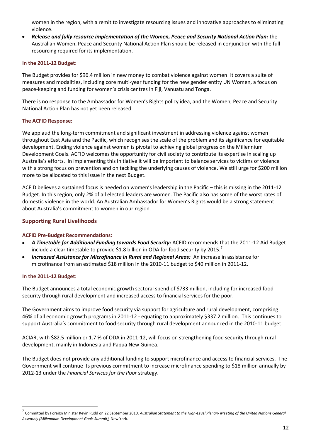women in the region, with a remit to investigate resourcing issues and innovative approaches to eliminating violence.

*Release and fully resource implementation of the Women, Peace and Security National Action Plan:* the Australian Women, Peace and Security National Action Plan should be released in conjunction with the full resourcing required for its implementation.

#### **In the 2011-12 Budget:**

The Budget provides for \$96.4 million in new money to combat violence against women. It covers a suite of measures and modalities, including core multi-year funding for the new gender entity UN Women, a focus on peace-keeping and funding for women's crisis centres in Fiji, Vanuatu and Tonga.

There is no response to the Ambassador for Women's Rights policy idea, and the Women, Peace and Security National Action Plan has not yet been released.

#### **The ACFID Response:**

We applaud the long-term commitment and significant investment in addressing violence against women throughout East Asia and the Pacific, which recognises the scale of the problem and its significance for equitable development. Ending violence against women is pivotal to achieving global progress on the Millennium Development Goals. ACFID welcomes the opportunity for civil society to contribute its expertise in scaling up Australia's efforts. In implementing this initiative it will be important to balance services to victims of violence with a strong focus on prevention and on tackling the underlying causes of violence. We still urge for \$200 million more to be allocated to this issue in the next Budget.

ACFID believes a sustained focus is needed on women's leadership in the Pacific – this is missing in the 2011-12 Budget. In this region, only 2% of all elected leaders are women. The Pacific also has some of the worst rates of domestic violence in the world. An Australian Ambassador for Women's Rights would be a strong statement about Australia's commitment to women in our region.

#### <span id="page-11-0"></span>**Supporting Rural Livelihoods**

#### **ACFID Pre-Budget Recommendations:**

- *A Timetable for Additional Funding towards Food Security:* ACFID recommends that the 2011-12 Aid Budget  $\bullet$ include a clear timetable to provide \$1.8 billion in ODA for food security by 2015.<sup>7</sup>
- *Increased Assistance for Microfinance in Rural and Regional Areas:* An increase in assistance for  $\bullet$ microfinance from an estimated \$18 million in the 2010-11 budget to \$40 million in 2011-12.

#### **In the 2011-12 Budget:**

 $\overline{a}$ 

The Budget announces a total economic growth sectoral spend of \$733 million, including for increased food security through rural development and increased access to financial services for the poor.

The Government aims to improve food security via support for agriculture and rural development, comprising 46% of all economic growth programs in 2011-12 - equating to approximately \$337.2 million. This continues to support Australia's commitment to food security through rural development announced in the 2010-11 budget.

ACIAR, with \$82.5 million or 1.7 % of ODA in 2011-12, will focus on strengthening food security through rural development, mainly in Indonesia and Papua New Guinea.

The Budget does not provide any additional funding to support microfinance and access to financial services. The Government will continue its previous commitment to increase microfinance spending to \$18 million annually by 2012-13 under the *Financial Services for the Poor* strategy.

<sup>&</sup>lt;sup>7</sup> Committed by Foreign Minister Kevin Rudd on 22 September 2010, Australian Statement to the High-Level Plenary Meeting of the United Nations General *Assembly (Millennium Development Goals Summit),* New York.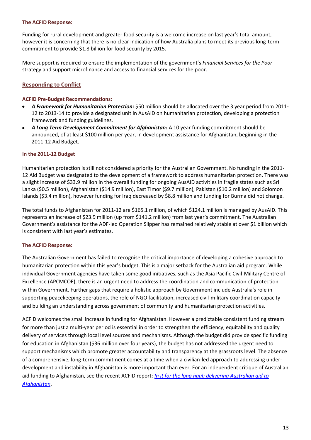#### **The ACFID Response:**

Funding for rural development and greater food security is a welcome increase on last year's total amount, however it is concerning that there is no clear indication of how Australia plans to meet its previous long-term commitment to provide \$1.8 billion for food security by 2015.

More support is required to ensure the implementation of the government's *Financial Services for the Poor* strategy and support microfinance and access to financial services for the poor.

#### <span id="page-12-0"></span>**Responding to Conflict**

#### **ACFID Pre-Budget Recommendations:**

- *A Framework for Humanitarian Protection:* \$50 million should be allocated over the 3 year period from 2011- 12 to 2013-14 to provide a designated unit in AusAID on humanitarian protection, developing a protection framework and funding guidelines.
- *A Long Term Development Commitment for Afghanistan:* A 10 year funding commitment should be announced, of at least \$100 million per year, in development assistance for Afghanistan, beginning in the 2011-12 Aid Budget.

#### **In the 2011-12 Budget**

Humanitarian protection is still not considered a priority for the Australian Government. No funding in the 2011- 12 Aid Budget was designated to the development of a framework to address humanitarian protection. There was a slight increase of \$33.9 million in the overall funding for ongoing AusAID activities in fragile states such as Sri Lanka (\$0.5 million), Afghanistan (\$14.9 million), East Timor (\$9.7 million), Pakistan (\$10.2 million) and Solomon Islands (\$3.4 million), however funding for Iraq decreased by \$8.8 million and funding for Burma did not change.

The total funds to Afghanistan for 2011-12 are \$165.1 million, of which \$124.1 million is managed by AusAID. This represents an increase of \$23.9 million (up from \$141.2 million) from last year's commitment. The Australian Government's assistance for the ADF-led Operation Slipper has remained relatively stable at over \$1 billion which is consistent with last year's estimates.

#### **The ACFID Response:**

The Australian Government has failed to recognise the critical importance of developing a cohesive approach to humanitarian protection within this year's budget. This is a major setback for the Australian aid program. While individual Government agencies have taken some good initiatives, such as the Asia Pacific Civil-Military Centre of Excellence (APCMCOE), there is an urgent need to address the coordination and communication of protection within Government. Further gaps that require a holistic approach by Government include Australia's role in supporting peacekeeping operations, the role of NGO facilitation, increased civil-military coordination capacity and building an understanding across government of community and humanitarian protection activities.

ACFID welcomes the small increase in funding for Afghanistan. However a predictable consistent funding stream for more than just a multi-year period is essential in order to strengthen the efficiency, equitability and quality delivery of services through local level sources and mechanisms. Although the budget did provide specific funding for education in Afghanistan (\$36 million over four years), the budget has not addressed the urgent need to support mechanisms which promote greater accountability and transparency at the grassroots level. The absence of a comprehensive, long-term commitment comes at a time when a civilian-led approach to addressing underdevelopment and instability in Afghanistan is more important than ever. For an independent critique of Australian aid funding to Afghanistan, see the recent ACFID report: *[In it for the long haul: delivering Australian aid to](http://www.acfid.asn.au/resources/docs_resources/docs_papers/In%20it%20for%20the%20long%20haul%20-%20Australias%20aid%20to%20Afghanistan.pdf)  [Afghanistan](http://www.acfid.asn.au/resources/docs_resources/docs_papers/In%20it%20for%20the%20long%20haul%20-%20Australias%20aid%20to%20Afghanistan.pdf)*.